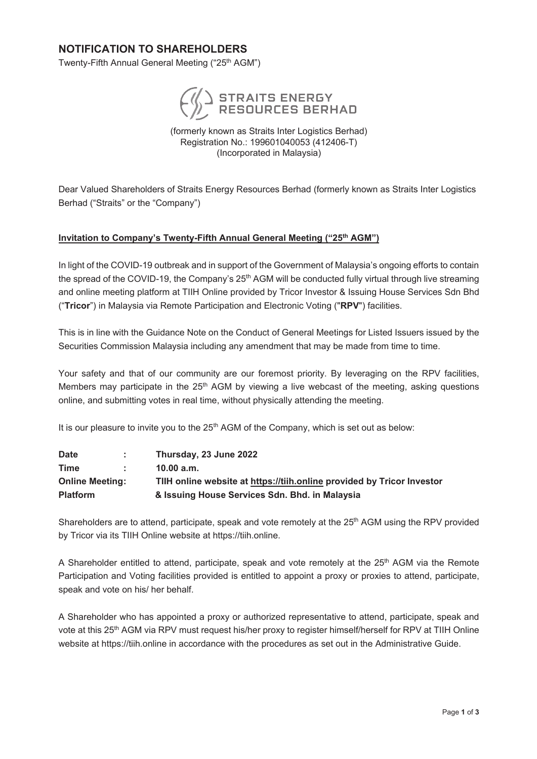#### **NOTIFICATION TO SHAREHOLDERS NOTIFICATION TO SHAREHOLDERS**

Twenty-Fifth Annual General Meeting ("25th AGM") Twenty-Fifth Annual General Meeting ("25<sup>th</sup> AGM")



(formerly known as Straits Inter Logistics Berhad) (formerly known as Straits Inter Logistics Berhad) Registration No.: 199601040053 (412406-T) (formerly known as Straits Inter Logistics Berhad) (Incorporated in Malaysia) (Incorporated in Malaysia) Registration No.: 199001040005 (412400-T) Registration No.: 100601040053 (412406-T) (Incorporated in Malaysia)

Dear Valued Shareholders of Straits Energy Resources Berhad (formerly known as Straits Inter Logistics Dear Valued Shareholders of Straits Energy Resources Berhad (formerly known as Straits Inter Logistics Berhad ("Straits" or the "Company") Berhad ("Straits" or the "Company") Dear Valued Shareholders of Straits Energy Resources Berhad (formerly known as Straits Inter Logistics Berhad ("Straits" or the "Company")

### **Invitation to Company's Twenty-Fifth Annual General Meeting ("25th AGM") Invitation to Company's Twenty-Fifth Annual General Meeting ("25th AGM") Invitation to Company's Twenty-Fifth Annual General Meeting ("25th AGM")**

In light of the COVID-19 outbreak and in support of the Government of Malaysia's ongoing efforts to contain In light of the COVID-19 outbreak and in support of the Government of Malaysia's ongoing efforts to contain the spread of the COVID-19, the Company's 25<sup>th</sup> AGM will be conducted fully virtual through live streaming and online meeting platform at TIIH Online provided by Tricor Investor & Issuing House Services Sdn Bhd and online meeting platform at TIIH Online provided by Tricor Investor & Issuing House Services Sdn Bhd ("**Tricor**") in Malaysia via Remote Participation and Electronic Voting ("**RPV**") facilities. ("**Tricor**") in Malaysia via Remote Participation and Electronic Voting ("**RPV**") facilities. In light of the COVID-19 outbreak and in support of the Government of Malaysia's ongoing efforts to contain the spread of the COVID-19, the Company's 25th AGM will be conducted fully virtual through live streaming and online meeting platform at TIIH Online provided by Tricor Investor & Issuing House Services Sdn Bhd ("**Tricor**") in Malaysia via Remote Participation and Electronic Voting ("**RPV**") facilities.

This is in line with the Guidance Note on the Conduct of General Meetings for Listed Issuers issued by the This is in line with the Guidance Note on the Conduct of General Meetings for Listed Issuers issued by the Securities Commission Malaysia including any amendment that may be made from time to time. Securities Commission Malaysia including any amendment that may be made from time to time. This is in line with the Guidance Note on the Conduct of General Meetings for Listed Issuers issued by the Securities Commission Malaysia including any amendment that may be made from time to time.

Your safety and that of our community are our foremost priority. By leveraging on the RPV facilities, Your safety and that of our community are our foremost priority. By leveraging on the RPV facilities, Members may participate in the 25<sup>th</sup> AGM by viewing a live webcast of the meeting, asking questions online, and submitting votes in real time, without physically attending the meeting. online, and submitting votes in real time, without physically attending the meeting. Your safety and that of our community are our foremost priority. By leveraging on the RPV facilities, Members may participate in the  $25th$  AGM by viewing a live webcast of the meeting, asking questions, online, and submitting votes in real time, without physically attending the meeting.

It is our pleasure to invite you to the 25<sup>th</sup> AGM of the Company, which is set out as below: It is our pleasure to invite you to the 25th AGM of the Company, which is set out as below:

| <b>Date</b>            | S. | Thursday, 23 June 2022                                                 |  |
|------------------------|----|------------------------------------------------------------------------|--|
| <b>Time</b>            |    | 10.00 a.m.                                                             |  |
| <b>Online Meeting:</b> |    | TIIH online website at https://tiih.online provided by Tricor Investor |  |
| <b>Platform</b>        |    | & Issuing House Services Sdn. Bhd. in Malaysia                         |  |
|                        |    |                                                                        |  |

Shareholders are to attend, participate, speak and vote remotely at the 25<sup>th</sup> AGM using the RPV provided by Tricor via its TIIH Online website at https://tiih.online. by Tricor via its TIIH Online website at https://tiih.online. Shareholders are to attend, participate, speak and vote remotely at the 25th AGM using the RPV provided by Tricor via its TIIH Online website at https://tiih.online.

A Shareholder entitled to attend, participate, speak and vote remotely at the 25<sup>th</sup> AGM via the Remote Participation and Voting facilities provided is entitled to appoint a proxy or proxies to attend, participate, speak and vote on his/ her behalf. speak and vote on his/ her behalf. A Shareholder entitled to attend, participate, speak and vote remotely at the 25th AGM via the Remote Participation and Voting facilities provided is entitled to appoint a proxy or proxies to attend, participate, speak and vote on his/ her behalf.

A Shareholder who has appointed a proxy or authorized representative to attend, participate, speak and A Shareholder who has appointed a proxy or authorized representative to attend, participate, speak and vote at this 25<sup>th</sup> AGM via RPV must request his/her proxy to register himself/herself for RPV at TIIH Online website at https://tiih.online in accordance with the procedures as set out in the Administrative Guide. website at https://tiih.online in accordance with the procedures as set out in the Administrative Guide. A Shareholder who has appointed a proxy or authorized representative to attend, participate, speak and vote at this 25th AGM via RPV must request his/her proxy to register himself/herself for RPV at TIIH Online website at https://tiih.online in accordance with the procedures as set out in the Administrative Guide.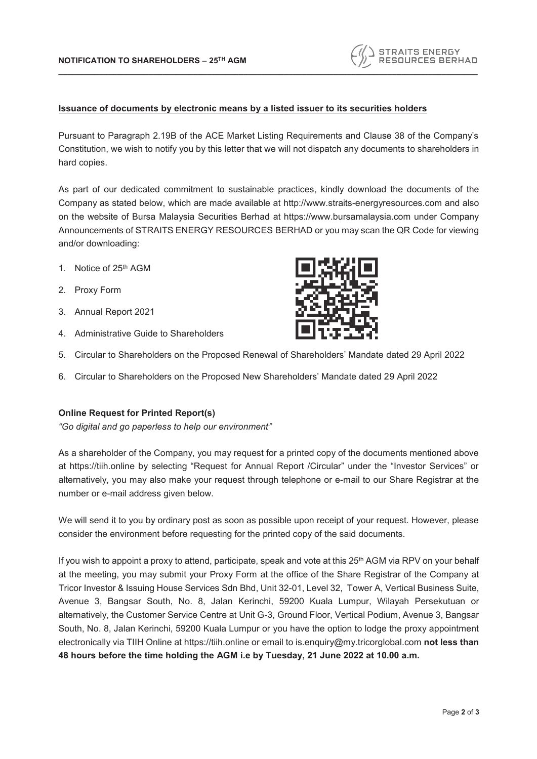# **Issuance of documents by electronic means by a listed issuer to its securities holders**

Pursuant to Paragraph 2.19B of the ACE Market Listing Requirements and Clause 38 of the Company's Constitution, we wish to notify you by this letter that we will not dispatch any documents to shareholders in hard copies.

**\_\_\_\_\_\_\_\_\_\_\_\_\_\_\_\_\_\_\_\_\_\_\_\_\_\_\_\_\_\_\_\_\_\_\_\_\_\_\_\_\_\_\_\_\_\_\_\_\_\_\_\_\_\_\_\_\_\_\_\_\_\_\_\_\_\_\_\_\_\_\_\_\_\_\_\_\_\_\_\_\_\_\_\_\_\_\_\_\_\_\_\_\_**

As part of our dedicated commitment to sustainable practices, kindly download the documents of the Company as stated below, which are made available at http://www.straits-energyresources.com and also on the website of Bursa Malaysia Securities Berhad at https://www.bursamalaysia.com under Company Announcements of STRAITS ENERGY RESOURCES BERHAD or you may scan the QR Code for viewing and/or downloading:

- 1. Notice of 25<sup>th</sup> AGM
- 2. Proxy Form
- 3. Annual Report 2021
- 4. Administrative Guide to Shareholders
- 5. Circular to Shareholders on the Proposed Renewal of Shareholders' Mandate dated 29 April 2022
- 6. Circular to Shareholders on the Proposed New Shareholders' Mandate dated 29 April 2022

## **Online Request for Printed Report(s)**

*"Go digital and go paperless to help our environment"*

As a shareholder of the Company, you may request for a printed copy of the documents mentioned above at https://tiih.online by selecting "Request for Annual Report /Circular" under the "Investor Services" or alternatively, you may also make your request through telephone or e-mail to our Share Registrar at the number or e-mail address given below.

We will send it to you by ordinary post as soon as possible upon receipt of your request. However, please consider the environment before requesting for the printed copy of the said documents.

If you wish to appoint a proxy to attend, participate, speak and vote at this 25<sup>th</sup> AGM via RPV on your behalf at the meeting, you may submit your Proxy Form at the office of the Share Registrar of the Company at Tricor Investor & Issuing House Services Sdn Bhd, Unit 32-01, Level 32, Tower A, Vertical Business Suite, Avenue 3, Bangsar South, No. 8, Jalan Kerinchi, 59200 Kuala Lumpur, Wilayah Persekutuan or alternatively, the Customer Service Centre at Unit G-3, Ground Floor, Vertical Podium, Avenue 3, Bangsar South, No. 8, Jalan Kerinchi, 59200 Kuala Lumpur or you have the option to lodge the proxy appointment electronically via TIIH Online at https://tiih.online or email to is.enquiry@my.tricorglobal.com **not less than 48 hours before the time holding the AGM i.e by Tuesday, 21 June 2022 at 10.00 a.m.**



STRAITS ENERGY<br>RESOURCES BERHAD